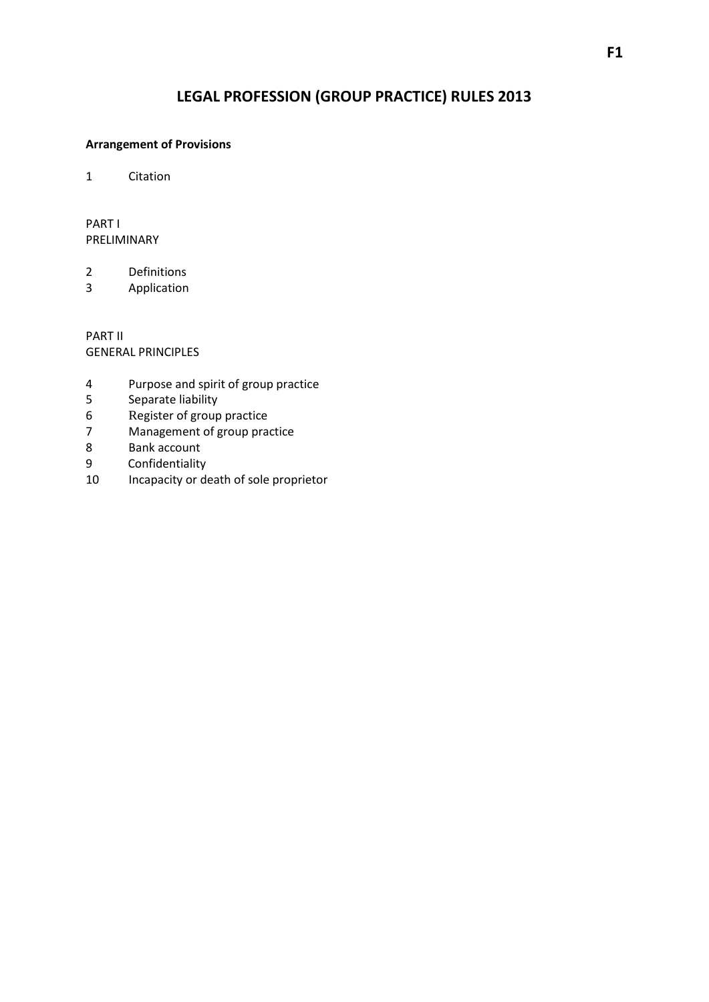# **LEGAL PROFESSION (GROUP PRACTICE) RULES 2013**

### **Arrangement of Provisions**

1 Citation

PART I PRELIMINARY

2 Definitions

3 Application

PART II GENERAL PRINCIPLES

- 4 Purpose and spirit of group practice
- 5 Separate liability
- 6 Register of group practice
- 7 Management of group practice
- 8 Bank account<br>9 Confidentiality
- 9 Confidentiality<br>10 Incapacity or do
- Incapacity or death of sole proprietor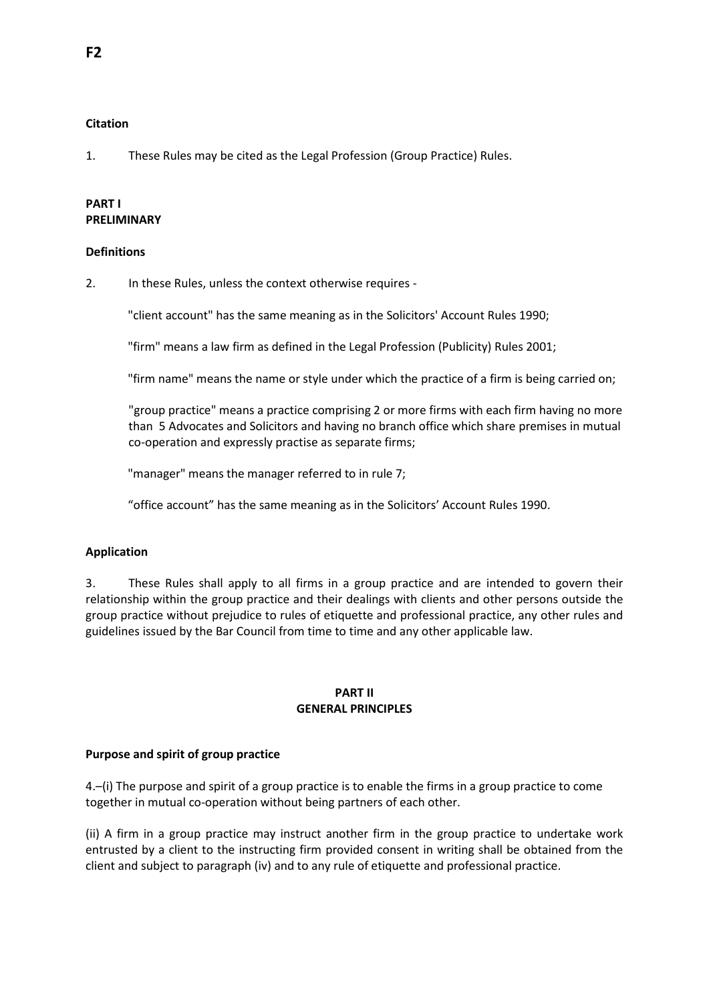### **Citation**

1. These Rules may be cited as the Legal Profession (Group Practice) Rules.

# **PART I PRELIMINARY**

#### **Definitions**

2. In these Rules, unless the context otherwise requires -

"client account" has the same meaning as in the Solicitors' Account Rules 1990;

"firm" means a law firm as defined in the Legal Profession (Publicity) Rules 2001;

"firm name" means the name or style under which the practice of a firm is being carried on;

"group practice" means a practice comprising 2 or more firms with each firm having no more than 5 Advocates and Solicitors and having no branch office which share premises in mutual co-operation and expressly practise as separate firms;

"manager" means the manager referred to in rule 7;

"office account" has the same meaning as in the Solicitors' Account Rules 1990.

### **Application**

3. These Rules shall apply to all firms in a group practice and are intended to govern their relationship within the group practice and their dealings with clients and other persons outside the group practice without prejudice to rules of etiquette and professional practice, any other rules and guidelines issued by the Bar Council from time to time and any other applicable law.

### **PART II GENERAL PRINCIPLES**

#### **Purpose and spirit of group practice**

4.–(i) The purpose and spirit of a group practice is to enable the firms in a group practice to come together in mutual co-operation without being partners of each other.

(ii) A firm in a group practice may instruct another firm in the group practice to undertake work entrusted by a client to the instructing firm provided consent in writing shall be obtained from the client and subject to paragraph (iv) and to any rule of etiquette and professional practice.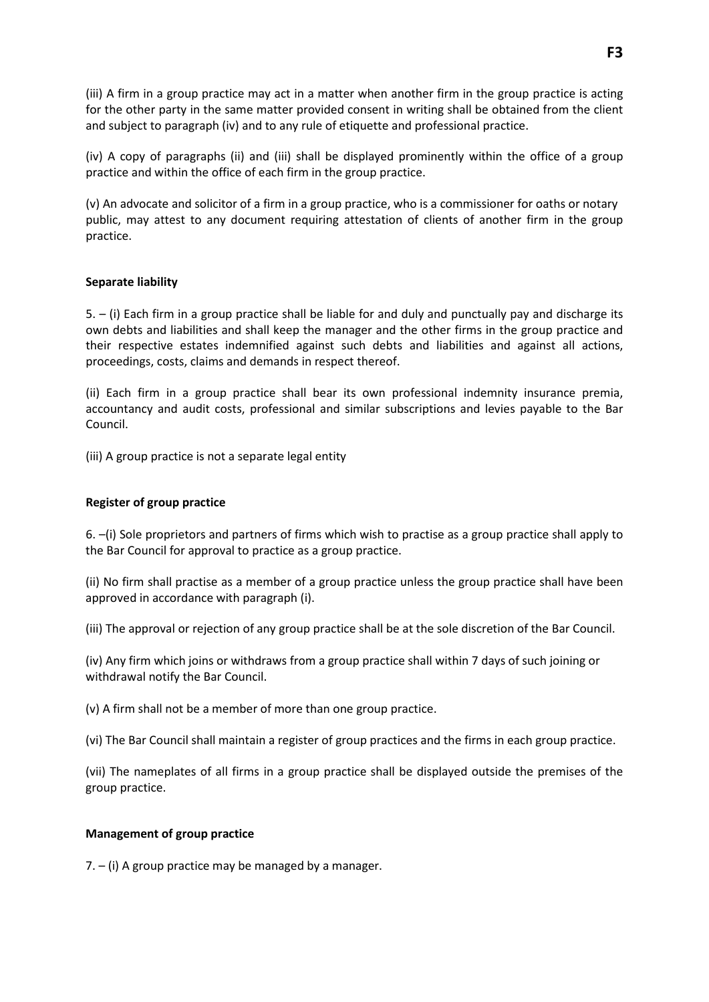(iii) A firm in a group practice may act in a matter when another firm in the group practice is acting for the other party in the same matter provided consent in writing shall be obtained from the client and subject to paragraph (iv) and to any rule of etiquette and professional practice.

(iv) A copy of paragraphs (ii) and (iii) shall be displayed prominently within the office of a group practice and within the office of each firm in the group practice.

(v) An advocate and solicitor of a firm in a group practice, who is a commissioner for oaths or notary public, may attest to any document requiring attestation of clients of another firm in the group practice.

# **Separate liability**

5. – (i) Each firm in a group practice shall be liable for and duly and punctually pay and discharge its own debts and liabilities and shall keep the manager and the other firms in the group practice and their respective estates indemnified against such debts and liabilities and against all actions, proceedings, costs, claims and demands in respect thereof.

(ii) Each firm in a group practice shall bear its own professional indemnity insurance premia, accountancy and audit costs, professional and similar subscriptions and levies payable to the Bar Council.

(iii) A group practice is not a separate legal entity

# **Register of group practice**

6. –(i) Sole proprietors and partners of firms which wish to practise as a group practice shall apply to the Bar Council for approval to practice as a group practice.

(ii) No firm shall practise as a member of a group practice unless the group practice shall have been approved in accordance with paragraph (i).

(iii) The approval or rejection of any group practice shall be at the sole discretion of the Bar Council.

(iv) Any firm which joins or withdraws from a group practice shall within 7 days of such joining or withdrawal notify the Bar Council.

(v) A firm shall not be a member of more than one group practice.

(vi) The Bar Council shall maintain a register of group practices and the firms in each group practice.

(vii) The nameplates of all firms in a group practice shall be displayed outside the premises of the group practice.

### **Management of group practice**

7. – (i) A group practice may be managed by a manager.